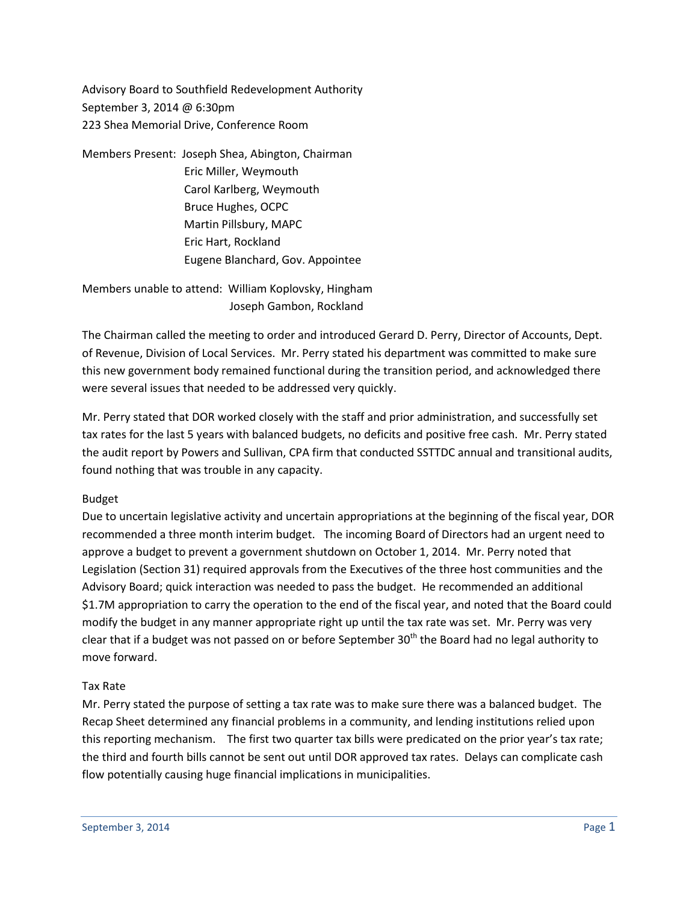Advisory Board to Southfield Redevelopment Authority September 3, 2014 @ 6:30pm 223 Shea Memorial Drive, Conference Room

Members Present: Joseph Shea, Abington, Chairman Eric Miller, Weymouth Carol Karlberg, Weymouth Bruce Hughes, OCPC Martin Pillsbury, MAPC Eric Hart, Rockland Eugene Blanchard, Gov. Appointee

Members unable to attend: William Koplovsky, Hingham Joseph Gambon, Rockland

The Chairman called the meeting to order and introduced Gerard D. Perry, Director of Accounts, Dept. of Revenue, Division of Local Services. Mr. Perry stated his department was committed to make sure this new government body remained functional during the transition period, and acknowledged there were several issues that needed to be addressed very quickly.

Mr. Perry stated that DOR worked closely with the staff and prior administration, and successfully set tax rates for the last 5 years with balanced budgets, no deficits and positive free cash. Mr. Perry stated the audit report by Powers and Sullivan, CPA firm that conducted SSTTDC annual and transitional audits, found nothing that was trouble in any capacity.

## Budget

Due to uncertain legislative activity and uncertain appropriations at the beginning of the fiscal year, DOR recommended a three month interim budget. The incoming Board of Directors had an urgent need to approve a budget to prevent a government shutdown on October 1, 2014. Mr. Perry noted that Legislation (Section 31) required approvals from the Executives of the three host communities and the Advisory Board; quick interaction was needed to pass the budget. He recommended an additional \$1.7M appropriation to carry the operation to the end of the fiscal year, and noted that the Board could modify the budget in any manner appropriate right up until the tax rate was set. Mr. Perry was very clear that if a budget was not passed on or before September  $30<sup>th</sup>$  the Board had no legal authority to move forward.

## Tax Rate

Mr. Perry stated the purpose of setting a tax rate was to make sure there was a balanced budget. The Recap Sheet determined any financial problems in a community, and lending institutions relied upon this reporting mechanism. The first two quarter tax bills were predicated on the prior year's tax rate; the third and fourth bills cannot be sent out until DOR approved tax rates. Delays can complicate cash flow potentially causing huge financial implications in municipalities.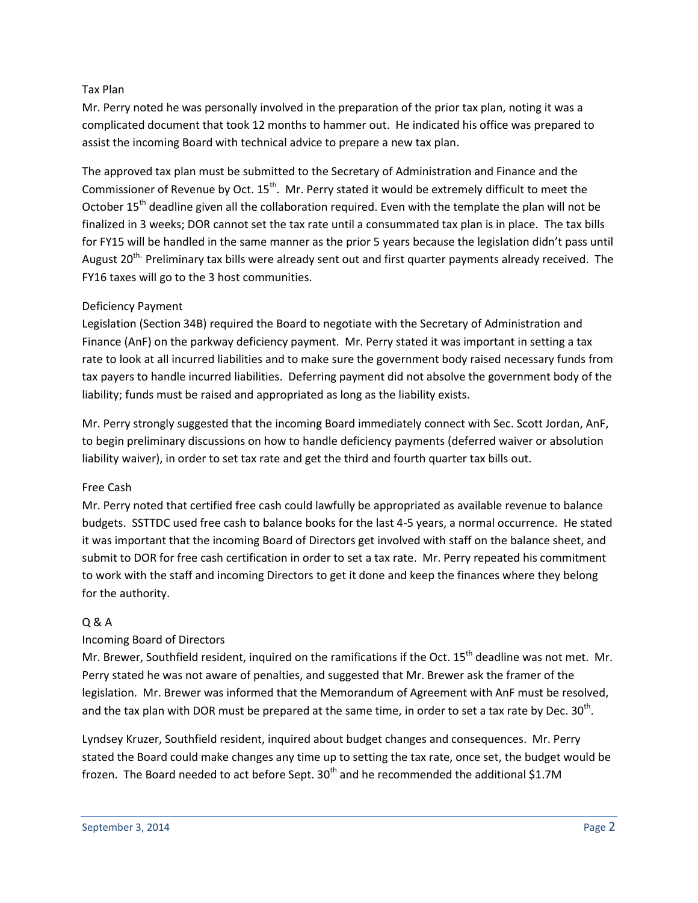#### Tax Plan

Mr. Perry noted he was personally involved in the preparation of the prior tax plan, noting it was a complicated document that took 12 months to hammer out. He indicated his office was prepared to assist the incoming Board with technical advice to prepare a new tax plan.

The approved tax plan must be submitted to the Secretary of Administration and Finance and the Commissioner of Revenue by Oct. 15<sup>th</sup>. Mr. Perry stated it would be extremely difficult to meet the October 15<sup>th</sup> deadline given all the collaboration required. Even with the template the plan will not be finalized in 3 weeks; DOR cannot set the tax rate until a consummated tax plan is in place. The tax bills for FY15 will be handled in the same manner as the prior 5 years because the legislation didn't pass until August 20<sup>th.</sup> Preliminary tax bills were already sent out and first quarter payments already received. The FY16 taxes will go to the 3 host communities.

## Deficiency Payment

Legislation (Section 34B) required the Board to negotiate with the Secretary of Administration and Finance (AnF) on the parkway deficiency payment. Mr. Perry stated it was important in setting a tax rate to look at all incurred liabilities and to make sure the government body raised necessary funds from tax payers to handle incurred liabilities. Deferring payment did not absolve the government body of the liability; funds must be raised and appropriated as long as the liability exists.

Mr. Perry strongly suggested that the incoming Board immediately connect with Sec. Scott Jordan, AnF, to begin preliminary discussions on how to handle deficiency payments (deferred waiver or absolution liability waiver), in order to set tax rate and get the third and fourth quarter tax bills out.

#### Free Cash

Mr. Perry noted that certified free cash could lawfully be appropriated as available revenue to balance budgets. SSTTDC used free cash to balance books for the last 4-5 years, a normal occurrence. He stated it was important that the incoming Board of Directors get involved with staff on the balance sheet, and submit to DOR for free cash certification in order to set a tax rate. Mr. Perry repeated his commitment to work with the staff and incoming Directors to get it done and keep the finances where they belong for the authority.

## Q & A

## Incoming Board of Directors

Mr. Brewer, Southfield resident, inquired on the ramifications if the Oct. 15<sup>th</sup> deadline was not met. Mr. Perry stated he was not aware of penalties, and suggested that Mr. Brewer ask the framer of the legislation. Mr. Brewer was informed that the Memorandum of Agreement with AnF must be resolved, and the tax plan with DOR must be prepared at the same time, in order to set a tax rate by Dec.  $30^{\text{th}}$ .

Lyndsey Kruzer, Southfield resident, inquired about budget changes and consequences. Mr. Perry stated the Board could make changes any time up to setting the tax rate, once set, the budget would be frozen. The Board needed to act before Sept.  $30<sup>th</sup>$  and he recommended the additional \$1.7M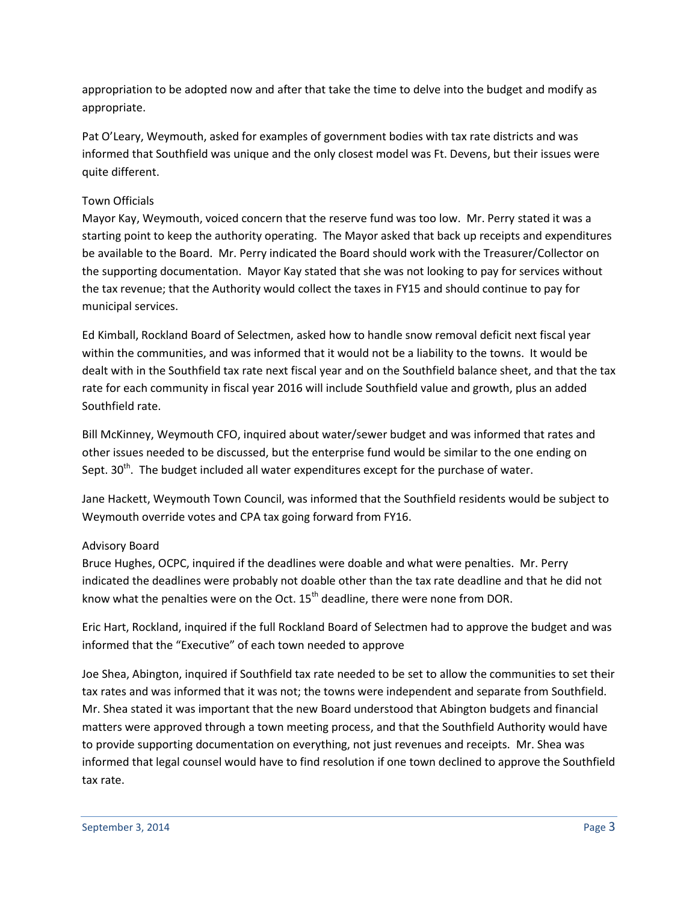appropriation to be adopted now and after that take the time to delve into the budget and modify as appropriate.

Pat O'Leary, Weymouth, asked for examples of government bodies with tax rate districts and was informed that Southfield was unique and the only closest model was Ft. Devens, but their issues were quite different.

# Town Officials

Mayor Kay, Weymouth, voiced concern that the reserve fund was too low. Mr. Perry stated it was a starting point to keep the authority operating. The Mayor asked that back up receipts and expenditures be available to the Board. Mr. Perry indicated the Board should work with the Treasurer/Collector on the supporting documentation. Mayor Kay stated that she was not looking to pay for services without the tax revenue; that the Authority would collect the taxes in FY15 and should continue to pay for municipal services.

Ed Kimball, Rockland Board of Selectmen, asked how to handle snow removal deficit next fiscal year within the communities, and was informed that it would not be a liability to the towns. It would be dealt with in the Southfield tax rate next fiscal year and on the Southfield balance sheet, and that the tax rate for each community in fiscal year 2016 will include Southfield value and growth, plus an added Southfield rate.

Bill McKinney, Weymouth CFO, inquired about water/sewer budget and was informed that rates and other issues needed to be discussed, but the enterprise fund would be similar to the one ending on Sept.  $30<sup>th</sup>$ . The budget included all water expenditures except for the purchase of water.

Jane Hackett, Weymouth Town Council, was informed that the Southfield residents would be subject to Weymouth override votes and CPA tax going forward from FY16.

## Advisory Board

Bruce Hughes, OCPC, inquired if the deadlines were doable and what were penalties. Mr. Perry indicated the deadlines were probably not doable other than the tax rate deadline and that he did not know what the penalties were on the Oct.  $15<sup>th</sup>$  deadline, there were none from DOR.

Eric Hart, Rockland, inquired if the full Rockland Board of Selectmen had to approve the budget and was informed that the "Executive" of each town needed to approve

Joe Shea, Abington, inquired if Southfield tax rate needed to be set to allow the communities to set their tax rates and was informed that it was not; the towns were independent and separate from Southfield. Mr. Shea stated it was important that the new Board understood that Abington budgets and financial matters were approved through a town meeting process, and that the Southfield Authority would have to provide supporting documentation on everything, not just revenues and receipts. Mr. Shea was informed that legal counsel would have to find resolution if one town declined to approve the Southfield tax rate.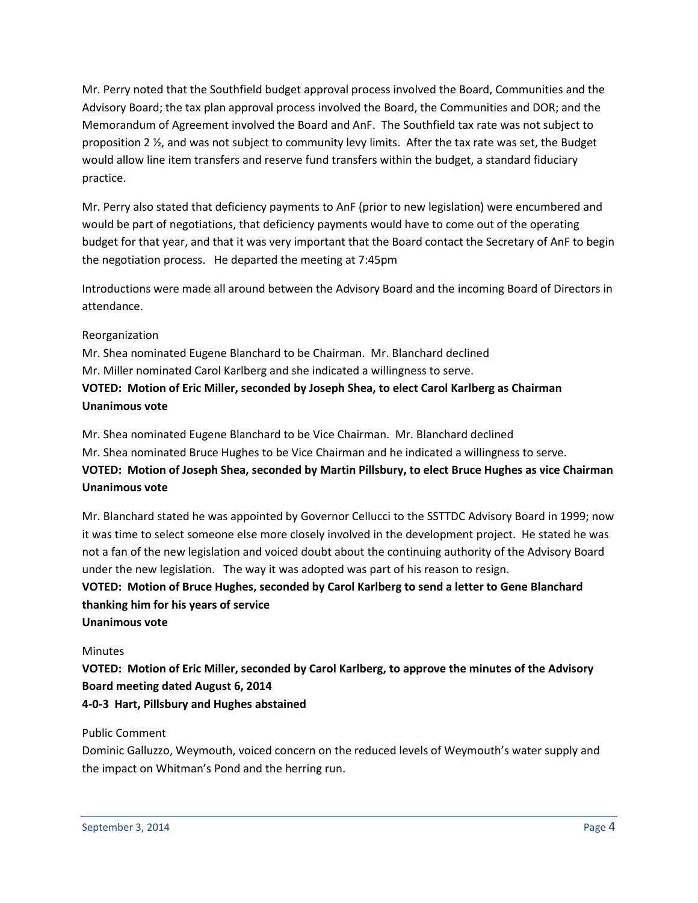Mr. Perry noted that the Southfield budget approval process involved the Board, Communities and the Advisory Board; the tax plan approval process involved the Board, the Communities and DOR; and the Memorandum of Agreement involved the Board and AnF. The Southfield tax rate was not subject to proposition 2 ½, and was not subject to community levy limits. After the tax rate was set, the Budget would allow line item transfers and reserve fund transfers within the budget, a standard fiduciary practice.

Mr. Perry also stated that deficiency payments to AnF (prior to new legislation) were encumbered and would be part of negotiations, that deficiency payments would have to come out of the operating budget for that year, and that it was very important that the Board contact the Secretary of AnF to begin the negotiation process. He departed the meeting at 7:45pm

Introductions were made all around between the Advisory Board and the incoming Board of Directors in attendance.

#### Reorganization

Mr. Shea nominated Eugene Blanchard to be Chairman. Mr. Blanchard declined Mr. Miller nominated Carol Karlberg and she indicated a willingness to serve. **VOTED: Motion of Eric Miller, seconded by Joseph Shea, to elect Carol Karlberg as Chairman Unanimous vote**

Mr. Shea nominated Eugene Blanchard to be Vice Chairman. Mr. Blanchard declined Mr. Shea nominated Bruce Hughes to be Vice Chairman and he indicated a willingness to serve. **VOTED: Motion of Joseph Shea, seconded by Martin Pillsbury, to elect Bruce Hughes as vice Chairman Unanimous vote**

Mr. Blanchard stated he was appointed by Governor Cellucci to the SSTTDC Advisory Board in 1999; now it was time to select someone else more closely involved in the development project. He stated he was not a fan of the new legislation and voiced doubt about the continuing authority of the Advisory Board under the new legislation. The way it was adopted was part of his reason to resign.

**VOTED: Motion of Bruce Hughes, seconded by Carol Karlberg to send a letter to Gene Blanchard thanking him for his years of service**

# **Unanimous vote**

#### **Minutes**

**VOTED: Motion of Eric Miller, seconded by Carol Karlberg, to approve the minutes of the Advisory Board meeting dated August 6, 2014**

#### **4-0-3 Hart, Pillsbury and Hughes abstained**

#### Public Comment

Dominic Galluzzo, Weymouth, voiced concern on the reduced levels of Weymouth's water supply and the impact on Whitman's Pond and the herring run.